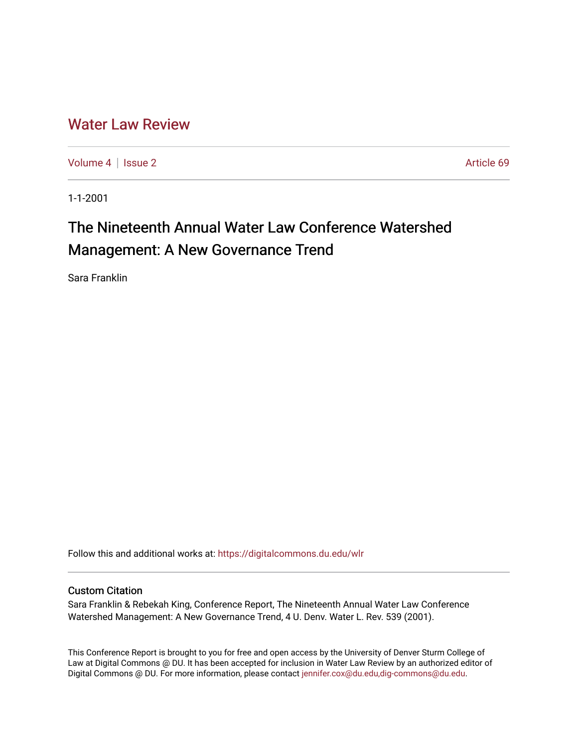# [Water Law Review](https://digitalcommons.du.edu/wlr)

[Volume 4](https://digitalcommons.du.edu/wlr/vol4) | [Issue 2](https://digitalcommons.du.edu/wlr/vol4/iss2) Article 69

1-1-2001

# The Nineteenth Annual Water Law Conference Watershed Management: A New Governance Trend

Sara Franklin

Follow this and additional works at: [https://digitalcommons.du.edu/wlr](https://digitalcommons.du.edu/wlr?utm_source=digitalcommons.du.edu%2Fwlr%2Fvol4%2Fiss2%2F69&utm_medium=PDF&utm_campaign=PDFCoverPages) 

### Custom Citation

Sara Franklin & Rebekah King, Conference Report, The Nineteenth Annual Water Law Conference Watershed Management: A New Governance Trend, 4 U. Denv. Water L. Rev. 539 (2001).

This Conference Report is brought to you for free and open access by the University of Denver Sturm College of Law at Digital Commons @ DU. It has been accepted for inclusion in Water Law Review by an authorized editor of Digital Commons @ DU. For more information, please contact [jennifer.cox@du.edu,dig-commons@du.edu](mailto:jennifer.cox@du.edu,dig-commons@du.edu).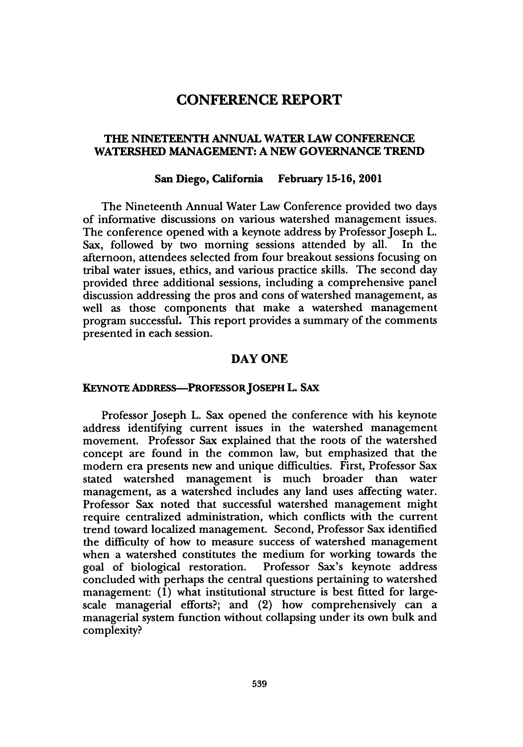# **CONFERENCE REPORT**

#### **THE NINETEENTH ANNUAL WATER LAW CONFERENCE WATERSHED MANAGEMENT: A NEW GOVERNANCE TREND**

#### **San Diego, California February 15-16, 2001**

The Nineteenth Annual Water Law Conference provided two days of informative discussions on various watershed management issues. The conference opened with a keynote address by Professor Joseph L. Sax, followed by two morning sessions attended by all. In the afternoon, attendees selected from four breakout sessions focusing on tribal water issues, ethics, and various practice skills. The second day provided three additional sessions, including a comprehensive panel discussion addressing the pros and cons of watershed management, as well as those components that make a watershed management program successful. This report provides a summary of the comments presented in each session.

#### **DAY ONE**

#### **KEYNOTE ADDRESS-PROFESSOR JOSEPH L. SAX**

Professor Joseph **L.** Sax opened the conference with his keynote address identifying current issues in the watershed management movement. Professor Sax explained that the roots of the watershed concept are found in the common law, but emphasized that the modern era presents new and unique difficulties. First, Professor Sax stated watershed management is much broader than water management, as a watershed includes any land uses affecting water. Professor Sax noted that successful watershed management might require centralized administration, which conflicts with the current trend toward localized management. Second, Professor Sax identified the difficulty of how to measure success of watershed management when a watershed constitutes the medium for working towards the goal of biological restoration. Professor Sax's keynote address concluded with perhaps the central questions pertaining to watershed management: (1) what institutional structure is best fitted for largescale managerial efforts?; and (2) how comprehensively can a managerial system function without collapsing under its own bulk and complexity?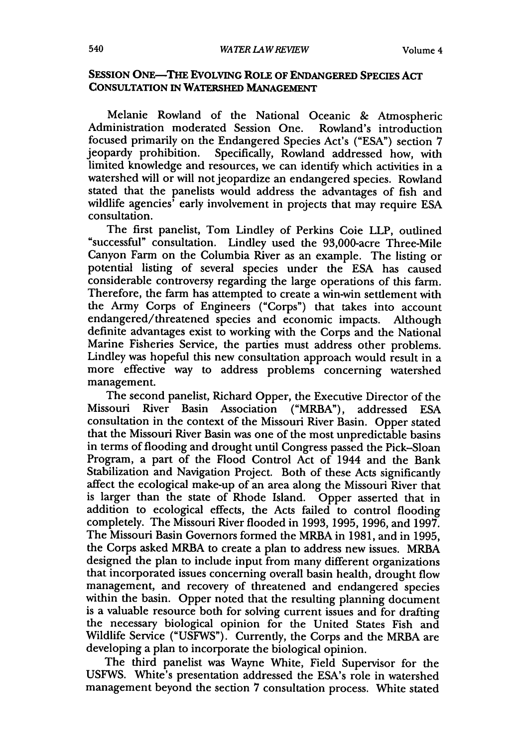#### **SESSION ONE-THE EVOLVING ROLE OF ENDANGERED SPECIES ACT CONSULTATION IN WATERSHED MANAGEMENT**

Melanie Rowland of the National Oceanic & Atmospheric Administration moderated Session One. Rowland's introduction focused primarily on the Endangered Species Act's ("ESA") section 7 jeopardy prohibition. Specifically, Rowland addressed how, with limited knowledge and resources, we can identify which activities in a watershed will or will not jeopardize an endangered species. Rowland stated that the panelists would address the advantages of fish and wildlife agencies<sup>†</sup> early involvement in projects that may require ESA consultation.

The first panelist, Tom Lindley of Perkins Coie LLP, outlined "successful" consultation. Lindley used the 93,000-acre Three-Mile Canyon Farm on the Columbia River as an example. The listing or potential listing of several species under the ESA has caused considerable controversy regarding the large operations of this farm. Therefore, the farm has attempted to create a win-win settlement with the Army Corps of Engineers ("Corps") that takes into account endangered/threatened species and economic impacts. Although definite advantages exist to working with the Corps and the National Marine Fisheries Service, the parties must address other problems. Lindley was hopeful this new consultation approach would result in a more effective way to address problems concerning watershed management.

The second panelist, Richard Opper, the Executive Director of the Missouri River Basin Association ("MRBA"), addressed ESA consultation in the context of the Missouri River Basin. Opper stated that the Missouri River Basin was one of the most unpredictable basins in terms of flooding and drought until Congress passed the Pick-Sloan Program, a part of the Flood Control Act of 1944 and the Bank Stabilization and Navigation Project. Both of these Acts significantly affect the ecological make-up of an area along the Missouri River that is larger than the state of Rhode Island. Opper asserted that in addition to ecological effects, the Acts failed to control flooding completely. The Missouri River flooded in 1993, 1995, 1996, and 1997. The Missouri Basin Governors formed the MRBA in 1981, and in 1995, the Corps asked MRBA to create a plan to address new issues. MRBA designed the plan to include input from many different organizations that incorporated issues concerning overall basin health, drought flow management, and recovery of threatened and endangered species within the basin. Opper noted that the resulting planning document is a valuable resource both for solving current issues and for drafting the necessary biological opinion for the United States Fish and Wildlife Service ("USFWS"). Currently, the Corps and the MRBA are developing a plan to incorporate the biological opinion.

The third panelist was Wayne White, Field Supervisor for the USFWS. White's presentation addressed the ESA's role in watershed management beyond the section 7 consultation process. White stated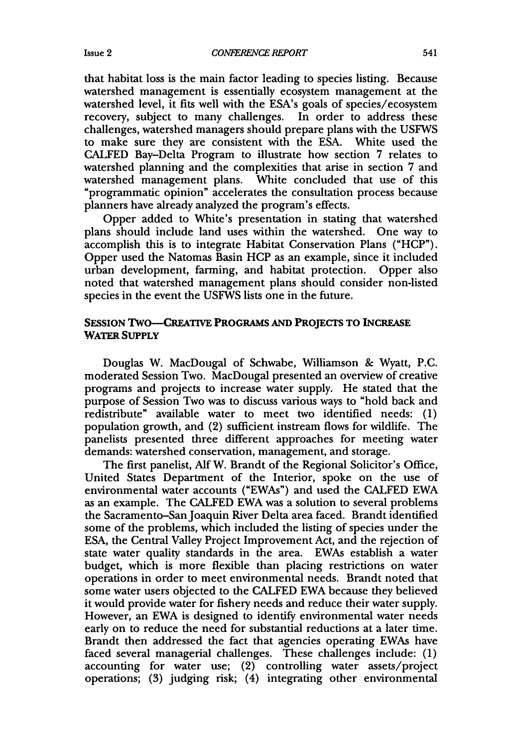that habitat loss is the main factor leading to species listing. Because watershed management is essentially ecosystem management at the watershed level, it fits well with the ESA's goals of species/ecosystem recovery, subject to many challenges. In order to address these challenges, watershed managers should prepare plans with the USFWS to make sure they are consistent with the ESA. White used the CALFED Bay-Delta Program to illustrate how section 7 relates to watershed planning and the complexities that arise in section 7 and watershed management plans. White concluded that use of this "programmatic opinion" accelerates the consultation process because planners have already analyzed the program's effects.

Opper added to White's presentation in stating that watershed plans should include land uses within the watershed. One way to accomplish this is to integrate Habitat Conservation Plans ("HCP"). Opper used the Natomas Basin HCP as an example, since it included urban development, farming, and habitat protection. Opper also noted that watershed management plans should consider non-listed species in the event the USFWS lists one in the future.

#### **SESSION TWO-CREATiVE PROGRAMS AND PROJECTS TO INCREASE** WATER **SUPPLY**

Douglas W. MacDougal of Schwabe, Williamson **&** Wyatt, **P.C.** moderated Session Two. MacDougal presented an overview of creative programs and projects to increase water supply. He stated that the purpose of Session Two was to discuss various ways to "hold back and redistribute" available water to meet two identified needs: (1) population growth, and (2) sufficient instream flows for wildlife. The panelists presented three different approaches for meeting water demands: watershed conservation, management, and storage.

The first panelist, Alf W. Brandt of the Regional Solicitor's Office, United States Department of the Interior, spoke on the use of environmental water accounts ("EWAs") and used the CALFED EWA as an example. The CALFED EWA was a solution to several problems the Sacramento-San Joaquin River Delta area faced. Brandt identified some of the problems, which included the listing of species under the ESA, the Central Valley Project Improvement Act, and the rejection of state water quality standards in the area. EWAs establish a water budget, which is more flexible than placing restrictions on water operations in order to meet environmental needs. Brandt noted that some water users objected to the CALFED EWA because they believed it would provide water for fishery needs and reduce their water supply. However, an EWA is designed to identify environmental water needs early on to reduce the need for substantial reductions at a later time. Brandt then addressed the fact that agencies operating EWAs have faced several managerial challenges. These challenges include: (1) accounting for water use; (2) controlling water assets/project operations; (3) judging risk; (4) integrating other environmental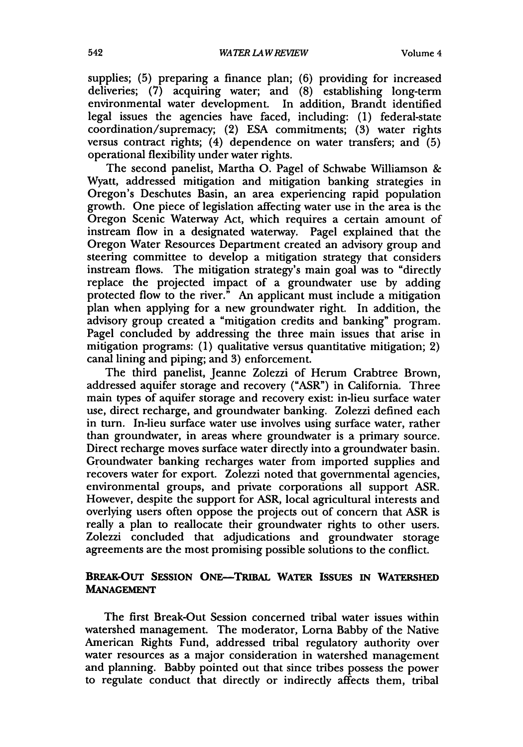supplies; (5) preparing a finance plan; (6) providing for increased deliveries; (7) acquiring water; and (8) establishing long-term environmental water development. In addition, Brandt identified legal issues the agencies have faced, including: (1) federal-state coordination/supremacy; (2) ESA commitments; (3) water rights versus contract rights;  $(4)$  dependence on water transfers; and  $(5)$ operational flexibility under water rights.

The second panelist, Martha **0.** Pagel of Schwabe Williamson & Wyatt, addressed mitigation and mitigation banking strategies in Oregon's Deschutes Basin, an area experiencing rapid population growth. One piece of legislation affecting water use in the area is the Oregon Scenic Waterway Act, which requires a certain amount of instream flow in a designated waterway. Pagel explained that the Oregon Water Resources Department created an advisory group and steering committee to develop a mitigation strategy that considers instream flows. The mitigation strategy's main goal was to "directly replace the projected impact of a groundwater use **by** adding protected flow to the river." An applicant must include a mitigation plan when applying for a new groundwater right. In addition, the advisory group created a "mitigation credits and banking" program. Pagel concluded **by** addressing the three main issues that arise in mitigation programs: **(1)** qualitative versus quantitative mitigation; 2) canal lining and piping; and **3)** enforcement.

The third panelist, Jeanne Zolezzi of Herum Crabtree Brown, addressed aquifer storage and recovery ("ASR") in California. Three main types of aquifer storage and recovery exist: in-lieu surface water use, direct recharge, and groundwater banking. Zolezzi defined each in turn. In-lieu surface water use involves using surface water, rather than groundwater, in areas where groundwater is a primary source. Direct recharge moves surface water directly into a groundwater basin. Groundwater banking recharges water from imported supplies and recovers water for export. Zolezzi noted that governmental agencies, environmental groups, and private corporations all support ASR. However, despite the support for ASR, local agricultural interests and overlying users often oppose the projects out of concern that ASR is really a plan to reallocate their groundwater rights to other users. Zolezzi concluded that adjudications and groundwater storage agreements are the most promising possible solutions to the conflict.

### **BREAK-OUT SESSION ONE-TRIBAL WATER ISSUES IN WATERSHED MANAGEMENT**

The first Break-Out Session concerned tribal water issues within watershed management. The moderator, Lorna Babby of the Native American Rights Fund, addressed tribal regulatory authority over water resources as a major consideration in watershed management and planning. Babby pointed out that since tribes possess the power to regulate conduct that directly or indirectly affects them, tribal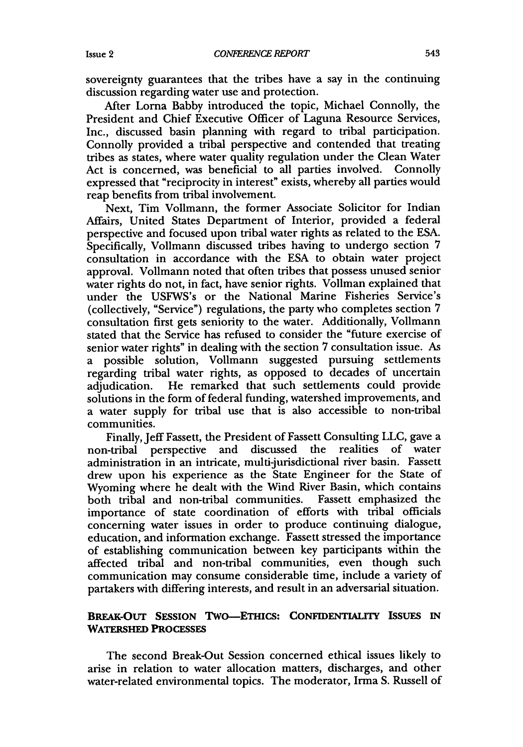sovereignty guarantees that the tribes have a say in the continuing discussion regarding water use and protection.

After Lorna Babby introduced the topic, Michael Connolly, the President and Chief Executive Officer of Laguna Resource Services, Inc., discussed basin planning with regard to tribal participation. Connolly provided a tribal perspective and contended that treating tribes as states, where water quality regulation under the Clean Water Act is concerned, was beneficial to all parties involved. Connolly expressed that "reciprocity in interest" exists, whereby all parties would reap benefits from tribal involvement.

Next, Tim Vollmann, the former Associate Solicitor for Indian Affairs, United States Department of Interior, provided a federal perspective and focused upon tribal water rights as related to the ESA. Specifically, Vollmann discussed tribes having to undergo section 7 consultation in accordance with the ESA to obtain water project approval. Vollmann noted that often tribes that possess unused senior water rights do not, in fact, have senior rights. Vollman explained that under the USFWS's or the National Marine Fisheries Service's (collectively, "Service") regulations, the party who completes section 7 consultation first gets seniority to the water. Additionally, Vollmann stated that the Service has refused to consider the "future exercise of senior water rights" in dealing with the section 7 consultation issue. As a possible solution, Vollmann suggested pursuing settlements regarding tribal water rights, as opposed to decades of uncertain adjudication. He remarked that such settlements could provide solutions in the form of federal funding, watershed improvements, and a water supply for tribal use that is also accessible to non-tribal communities.

Finally, Jeff Fassett, the President of Fassett Consulting LLC, gave a non-tribal perspective and discussed the realities of water administration in an intricate, multi-jurisdictional river basin. Fassett drew upon his experience as the State Engineer for the State of Wyoming where he dealt with the Wind River Basin, which contains both tribal and non-tribal communities. Fassett emphasized the importance of state coordination of efforts with tribal officials concerning water issues in order to produce continuing dialogue, education, and information exchange. Fassett stressed the importance of establishing communication between key participants within the affected tribal and non-tribal communities, even though such communication may consume considerable time, include a variety of partakers with differing interests, and result in an adversarial situation.

# **BREAK-OUT SESSION TWO-ETHICS: CONFIDENTIALITY ISSUES IN WATERSHED PROCESSES**

The second Break-Out Session concerned ethical issues likely to arise in relation to water allocation matters, discharges, and other water-related environmental topics. The moderator, Irma **S.** Russell of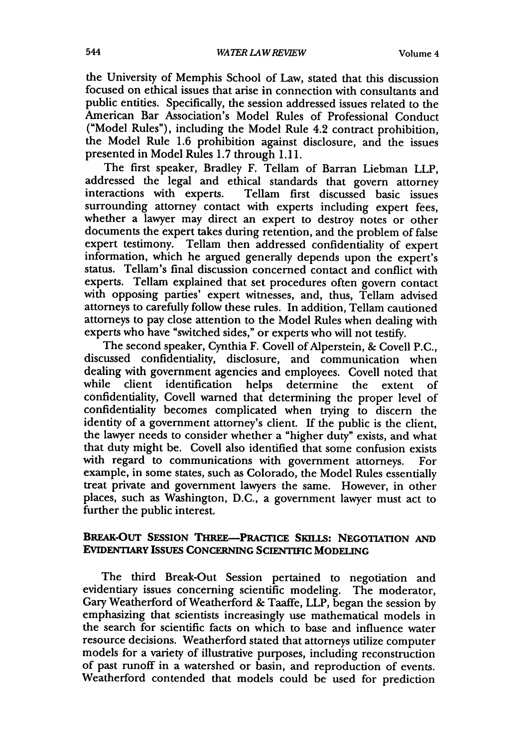the University of Memphis School of Law, stated that this discussion focused on ethical issues that arise in connection with consultants and public entities. Specifically, the session addressed issues related to the American Bar Association's Model Rules of Professional Conduct ("Model Rules"), including the Model Rule 4.2 contract prohibition, the Model Rule 1.6 prohibition against disclosure, and the issues presented in Model Rules 1.7 through 1.11.

The first speaker, Bradley F. Tellam of Barran Liebman LLP, addressed the legal and ethical standards that govern attorney interactions with experts. Tellam first discussed basic issues surrounding attorney contact with experts including expert fees, whether a lawyer may direct an expert to destroy notes or other documents the expert takes during retention, and the problem of false expert testimony. Tellam then addressed confidentiality of expert information, which he argued generally depends upon the expert's status. Tellam's final discussion concerned contact and conflict with experts. Tellam explained that set procedures often govern contact with opposing parties' expert witnesses, and, thus, Tellam advised attorneys to carefully follow these rules. In addition, Tellam cautioned attorneys to pay close attention to the Model Rules when dealing with experts who have "switched sides," or experts who will not testify.

The second speaker, Cynthia F. Covell of Alperstein, **&** Covell **P.C.,** discussed confidentiality, disclosure, and communication when dealing with government agencies and employees. Covell noted that while client identification helps determine the extent of confidentiality, Covell warned that determining the proper level of confidentiality becomes complicated when trying to discern the identity of a government attorney's client. If the public is the client, the lawyer needs to consider whether a "higher duty" exists, and what that duty might be. Covell also identified that some confusion exists with regard to communications with government attorneys. For example, in some states, such as Colorado, the Model Rules essentially treat private and government lawyers the same. However, in other places, such as Washington, **D.C.,** a government lawyer must act to further the public interest.

#### BREAK-OuT **SESSION** THREE-PRACTICE **SKILLS:** NEGOTIATION **AND** EVIDENTIARY IssuEs **CONCERNING SCIENTIFIC MODELING**

The third Break-Out Session pertained to negotiation and evidentiary issues concerning scientific modeling. The moderator, Gary Weatherford of Weatherford **&** Taaffe, LLP, began the session **by** emphasizing that scientists increasingly use mathematical models in the search for scientific facts on which to base and influence water resource decisions. Weatherford stated that attorneys utilize computer models for a variety of illustrative purposes, including reconstruction of past runoff in a watershed or basin, and reproduction of events. Weatherford contended that models could be used for prediction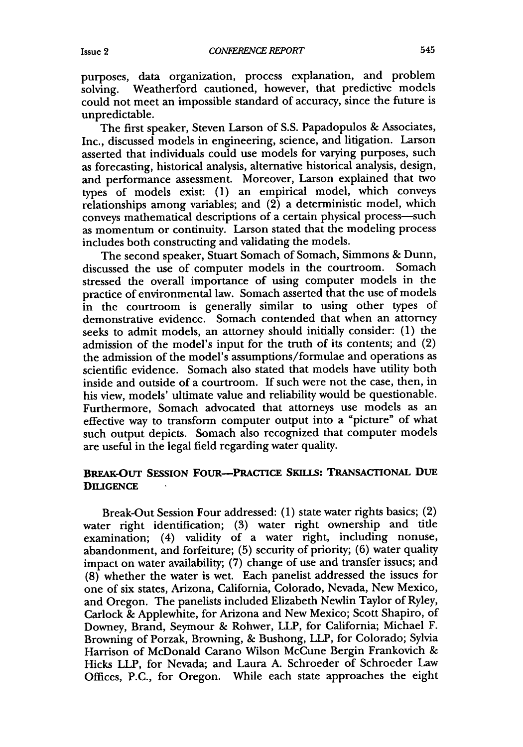purposes, data organization, process explanation, and problem solving. Weatherford cautioned, however, that predictive models could not meet an impossible standard of accuracy, since the future is unpredictable.

The first speaker, Steven Larson of S.S. Papadopulos & Associates, Inc., discussed models in engineering, science, and litigation. Larson asserted that individuals could use models for varying purposes, such as forecasting, historical analysis, alternative historical analysis, design, and performance assessment. Moreover, Larson explained that two types of models exist: **(1)** an empirical model, which conveys  $r$ elationships among variables; and  $(2)$  a deterministic model, which conveys mathematical descriptions of a certain physical process-such as momentum or continuity. Larson stated that the modeling process includes both constructing and validating the models.

The second speaker, Stuart Somach of Somach, Simmons & Dunn, discussed the use of computer models in the courtroom. Somach stressed the overall importance of using computer models in the practice of environmental law. Somach asserted that the use of models in the courtroom is generally similar to using other types of demonstrative evidence. Somach contended that when an attorney seeks to admit models, an attorney should initially consider: **(1)** the admission of the model's input for the truth of its contents; and (2) the admission of the model's assumptions/formulae and operations as scientific evidence. Somach also stated that models have utility both inside and outside of a courtroom. If such were not the case, then, in his view, models' ultimate value and reliability would be questionable. Furthermore, Somach advocated that attorneys use models as an effective way to transform computer output into a "picture" of what such output depicts. Somach also recognized that computer models are useful in the legal field regarding water quality.

## BREAK-OUT **SESSION FOUR-PRACTICE SKILLS: TRANSACTIONAL DUE DILIGENCE**

Break-Out Session Four addressed: (1) state water rights basics; (2) water right identification; **(3)** water right ownership and title examination; (4) validity of a water right, including nonuse, abandonment, and forfeiture; **(5)** security of priority; (6) water quality impact on water availability; (7) change of use and transfer issues; and (8) whether the water is wet. Each panelist addressed the issues for one of six states, Arizona, California, Colorado, Nevada, New Mexico, and Oregon. The panelists included Elizabeth Newlin Taylor of Ryley, Carlock & Applewhite, for Arizona and New Mexico; Scott Shapiro, of Downey, Brand, Seymour & Rohwer, LLP, for California; Michael F. Browning of Porzak, Browning, & Bushong, LLP, for Colorado; Sylvia Harrison of McDonald Carano Wilson McCune Bergin Frankovich & Hicks LLP, for Nevada; and Laura A. Schroeder of Schroeder Law Offices, P.C., for Oregon. While each state approaches the eight

Issue 2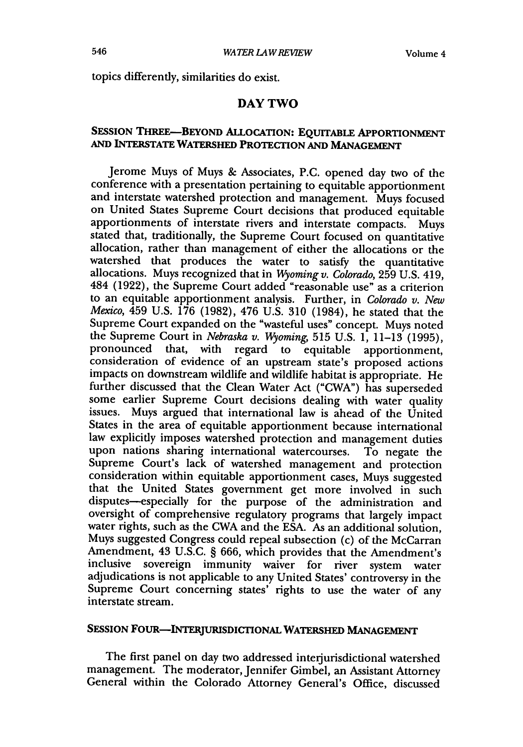topics differently, similarities do exist.

#### DAY TWO

# **SESSION** THREE-BEYOND ALLOCATION: **EQUITABLE APPORTIONMENT AND INTERSTATE WATERSHED** PROTECTION **AND MANAGEMENT**

Jerome Muys of Muys & Associates, P.C. opened day two of the conference with a presentation pertaining to equitable apportionment and interstate watershed protection and management. Muys focused on United States Supreme Court decisions that produced equitable apportionments of interstate rivers and interstate compacts. Muys stated that, traditionally, the Supreme Court focused on quantitative allocation, rather than management of either the allocations or the watershed that produces the water to satisfy the quantitative allocations. Muys recognized that in *Wyomingv. Colorado,* 259 U.S. 419, 484 (1922), the Supreme Court added "reasonable use" as a criterion to an equitable apportionment analysis. Further, in *Colorado v. New Mexico,* 459 U.S. 176 (1982), 476 U.S. 310 (1984), he stated that the Supreme Court expanded on the "wasteful uses" concept. Muys noted the Supreme Court in *Nebraska v. Wyoming,* 515 U.S. 1, 11-13 (1995), pronounced that, with regard to equitable apportionment, consideration of evidence of an upstream state's proposed actions impacts on downstream wildlife and wildlife habitat is appropriate. He further discussed that the Clean Water Act ("CWA") has superseded some earlier Supreme Court decisions dealing with water quality issues. Muys argued that international law is ahead of the United States in the area of equitable apportionment because international law explicitly imposes watershed protection and management duties upon nations sharing international watercourses. To negate the Supreme Court's lack of watershed management and protection consideration within equitable apportionment cases, Muys suggested that the United States government get more involved in such disputes-especially for the purpose of the administration and oversight of comprehensive regulatory programs that largely impact water rights, such as the CWA and the ESA. As an additional solution, Muys suggested Congress could repeal subsection (c) of the McCarran Amendment, 43 U.S.C. § 666, which provides that the Amendment's inclusive sovereign immunity waiver for river system water adjudications is not applicable to any United States' controversy in the Supreme Court concerning states' rights to use the water of any interstate stream.

# **SESSION FOUR-INTERJURISDICTIONAL WATERSHED MANAGEMENT**

The first panel on day two addressed interjurisdictional watershed management. The moderator, Jennifer Gimbel, an Assistant Attorney General within the Colorado Attorney General's Office, discussed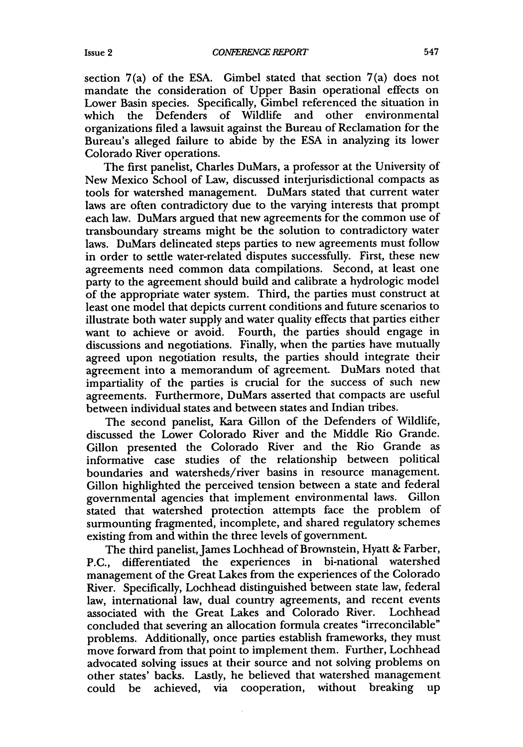section 7(a) of the ESA. Gimbel stated that section 7(a) does not mandate the consideration of Upper Basin operational effects on Lower Basin species. Specifically, Gimbel referenced the situation in which the Defenders of Wildlife and other environmental organizations filed a lawsuit against the Bureau of Reclamation for the Bureau's alleged failure to abide by the ESA in analyzing its lower Colorado River operations.

The first panelist, Charles DuMars, a professor at the University of New Mexico School of Law, discussed interjurisdictional compacts as tools for watershed management. DuMars stated that current water laws are often contradictory due to the varying interests that prompt each law. DuMars argued that new agreements for the common use of transboundary streams might be the solution to contradictory water laws. DuMars delineated steps parties to new agreements must follow in order to settle water-related disputes successfully. First, these new agreements need common data compilations. Second, at least one party to the agreement should build and calibrate a hydrologic model of the appropriate water system. Third, the parties must construct at least one model that depicts current conditions and future scenarios to illustrate both water supply and water quality effects that parties either want to achieve or avoid. Fourth, the parties should engage in discussions and negotiations. Finally, when the parties have mutually agreed upon negotiation results, the parties should integrate their agreement into a memorandum of agreement. DuMars noted that impartiality of the parties is crucial for the success of such new agreements. Furthermore, DuMars asserted that compacts are useful between individual states and between states and Indian tribes.

The second panelist, Kara Gillon of the Defenders of Wildlife, discussed the Lower Colorado River and the Middle Rio Grande. Gillon presented the Colorado River and the Rio Grande as informative case studies of the relationship between political boundaries and watersheds/river basins in resource management. Gillon highlighted the perceived tension between a state and federal governmental agencies that implement environmental laws. Gillon stated that watershed protection attempts face the problem of surmounting fragmented, incomplete, and shared regulatory schemes existing from and within the three levels of government.

The third panelist, James Lochhead of Brownstein, Hyatt & Farber, P.C., differentiated the experiences in bi-national watershed management of the Great Lakes from the experiences of the Colorado River. Specifically, Lochhead distinguished between state law, federal law, international law, dual country agreements, and recent events associated with the Great Lakes and Colorado River. Lochhead concluded that severing an allocation formula creates "irreconcilable" problems. Additionally, once parties establish frameworks, they must move forward from that point to implement them. Further, Lochhead advocated solving issues at their source and not solving problems on other states' backs. Lastly, he believed that watershed management could be achieved, via cooperation, without breaking up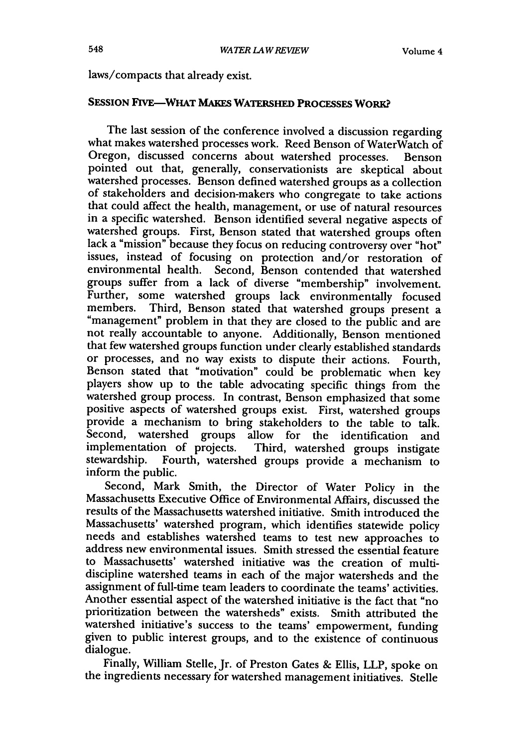#### laws/compacts that already exist.

#### **SESSION FIVE-WHAT MAKES WATERSHED PROCESSES WORK?**

The last session of the conference involved a discussion regarding what makes watershed processes work. Reed Benson of WaterWatch of Oregon, discussed concerns about watershed processes. Benson pointed out that, generally, conservationists are skeptical about watershed processes. Benson defined watershed groups as a collection of stakeholders and decision-makers who congregate to take actions that could affect the health, management, or use of natural resources in a specific watershed. Benson identified several negative aspects of watershed groups. First, Benson stated that watershed groups often lack a "mission" because they focus on reducing controversy over "hot" issues, instead of focusing on protection and/or restoration of environmental health. Second, Benson contended that watershed groups suffer from a lack of diverse "membership" involvement. Further, some watershed groups lack environmentally focused<br>members. Third, Benson stated that watershed groups present a "management" problem in that they are closed to the public and are not really accountable to anyone. Additionally, Benson mentioned that few watershed groups function under clearly established standards or processes, and no way exists to dispute their actions. Fourth, Benson stated that "motivation" could be problematic when key players show up to the table advocating specific things from the watershed group process. In contrast, Benson emphasized that some provide a mechanism to bring stakeholders to the table to talk. Second, watershed groups allow for the identification and implementation of projects. Third, watershed groups instigate stewardship. Fourth, watershed groups provide a mechanism to inform the public.

Second, Mark Smith, the Director of Water Policy in the Massachusetts Executive Office of Environmental Affairs, discussed the results of the Massachusetts watershed initiative. Smith introduced the Massachusetts' watershed program, which identifies statewide policy needs and establishes watershed teams to test new approaches to address new environmental issues. Smith stressed the essential feature to Massachusetts' watershed initiative was the creation of multidiscipline watershed teams in each of the major watersheds and the assignment of full-time team leaders to coordinate the teams' activities. Another essential aspect of the watershed initiative is the fact that "no prioritization between the watersheds" exists. Smith attributed the watershed initiative's success to the teams' empowerment, funding given to public interest groups, and to the existence of continuous dialogue.

Finally, William Stelle, Jr. of Preston Gates **&** Ellis, LLP, spoke on the ingredients necessary for watershed management initiatives. Stelle